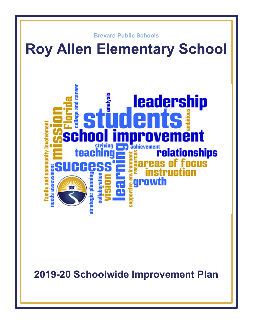

**2019-20 Schoolwide Improvement Plan**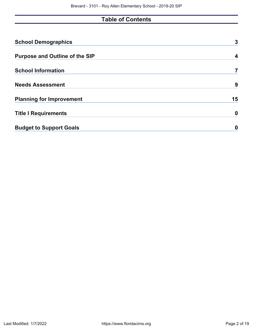# **Table of Contents**

| <b>School Demographics</b>            | 3  |
|---------------------------------------|----|
| <b>Purpose and Outline of the SIP</b> | 4  |
| <b>School Information</b>             |    |
| <b>Needs Assessment</b>               | 9  |
| <b>Planning for Improvement</b>       | 15 |
| <b>Title I Requirements</b>           | 0  |
| <b>Budget to Support Goals</b>        | 0  |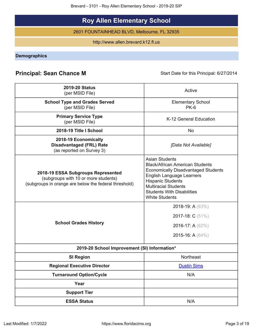Brevard - 3101 - Roy Allen Elementary School - 2019-20 SIP

# **Roy Allen Elementary School**

2601 FOUNTAINHEAD BLVD, Melbourne, FL 32935

http://www.allen.brevard.k12.fl.us

<span id="page-2-0"></span>**Demographics**

# **Principal: Sean Chance M** Start Date for this Principal: 6/27/2014

| <b>2019-20 Status</b><br>(per MSID File)                                                                                            | Active                                                                                                                                                                                                                                                                     |
|-------------------------------------------------------------------------------------------------------------------------------------|----------------------------------------------------------------------------------------------------------------------------------------------------------------------------------------------------------------------------------------------------------------------------|
| <b>School Type and Grades Served</b><br>(per MSID File)                                                                             | <b>Elementary School</b><br>$PK-6$                                                                                                                                                                                                                                         |
| <b>Primary Service Type</b><br>(per MSID File)                                                                                      | K-12 General Education                                                                                                                                                                                                                                                     |
| 2018-19 Title I School                                                                                                              | <b>No</b>                                                                                                                                                                                                                                                                  |
| 2018-19 Economically<br><b>Disadvantaged (FRL) Rate</b><br>(as reported on Survey 3)                                                | [Data Not Available]                                                                                                                                                                                                                                                       |
| 2018-19 ESSA Subgroups Represented<br>(subgroups with 10 or more students)<br>(subgroups in orange are below the federal threshold) | <b>Asian Students</b><br><b>Black/African American Students</b><br><b>Economically Disadvantaged Students</b><br><b>English Language Learners</b><br><b>Hispanic Students</b><br><b>Multiracial Students</b><br><b>Students With Disabilities</b><br><b>White Students</b> |
| <b>School Grades History</b>                                                                                                        | 2018-19: A (63%)<br>2017-18: C (51%)<br>2016-17: A (62%)<br>2015-16: A (64%)                                                                                                                                                                                               |
| 2019-20 School Improvement (SI) Information*                                                                                        |                                                                                                                                                                                                                                                                            |
| <b>SI Region</b>                                                                                                                    | Northeast                                                                                                                                                                                                                                                                  |
| <b>Regional Executive Director</b>                                                                                                  | <b>Dustin Sims</b>                                                                                                                                                                                                                                                         |
| <b>Turnaround Option/Cycle</b>                                                                                                      | N/A                                                                                                                                                                                                                                                                        |
| Year                                                                                                                                |                                                                                                                                                                                                                                                                            |
| <b>Support Tier</b>                                                                                                                 |                                                                                                                                                                                                                                                                            |
| <b>ESSA Status</b>                                                                                                                  | N/A                                                                                                                                                                                                                                                                        |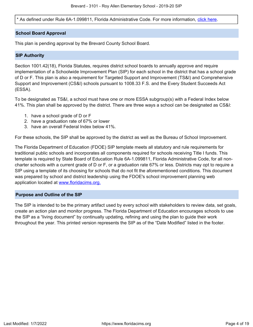\* As defined under Rule 6A-1.099811, Florida Administrative Code. For more information, [click here.](/downloads?category=da-forms)

# **School Board Approval**

This plan is pending approval by the Brevard County School Board.

## **SIP Authority**

Section 1001.42(18), Florida Statutes, requires district school boards to annually approve and require implementation of a Schoolwide Improvement Plan (SIP) for each school in the district that has a school grade of D or F. This plan is also a requirement for Targeted Support and Improvement (TS&I) and Comprehensive Support and Improvement (CS&I) schools pursuant to 1008.33 F.S. and the Every Student Succeeds Act (ESSA).

To be designated as TS&I, a school must have one or more ESSA subgroup(s) with a Federal Index below 41%. This plan shall be approved by the district. There are three ways a school can be designated as CS&I:

- 1. have a school grade of D or F
- 2. have a graduation rate of 67% or lower
- 3. have an overall Federal Index below 41%.

For these schools, the SIP shall be approved by the district as well as the Bureau of School Improvement.

The Florida Department of Education (FDOE) SIP template meets all statutory and rule requirements for traditional public schools and incorporates all components required for schools receiving Title I funds. This template is required by State Board of Education Rule 6A-1.099811, Florida Administrative Code, for all noncharter schools with a current grade of D or F, or a graduation rate 67% or less. Districts may opt to require a SIP using a template of its choosing for schools that do not fit the aforementioned conditions. This document was prepared by school and district leadership using the FDOE's school improvement planning web application located at [www.floridacims.org.](https://www.floridacims.org)

# <span id="page-3-0"></span>**Purpose and Outline of the SIP**

The SIP is intended to be the primary artifact used by every school with stakeholders to review data, set goals, create an action plan and monitor progress. The Florida Department of Education encourages schools to use the SIP as a "living document" by continually updating, refining and using the plan to guide their work throughout the year. This printed version represents the SIP as of the "Date Modified" listed in the footer.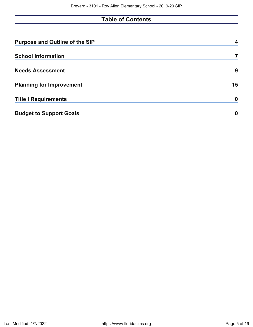# **Table of Contents**

| <b>Purpose and Outline of the SIP</b> |    |
|---------------------------------------|----|
| <b>School Information</b>             |    |
| <b>Needs Assessment</b>               | 9  |
| <b>Planning for Improvement</b>       | 15 |
| <b>Title I Requirements</b>           | 0  |
| <b>Budget to Support Goals</b>        | 0  |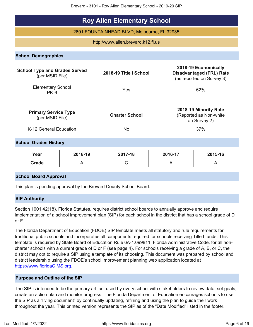Brevard - 3101 - Roy Allen Elementary School - 2019-20 SIP

# **Roy Allen Elementary School**

2601 FOUNTAINHEAD BLVD, Melbourne, FL 32935

# http://www.allen.brevard.k12.fl.us

**School Demographics**

| <b>School Type and Grades Served</b><br>(per MSID File) |              | 2018-19 Title I School |              | 2018-19 Economically<br><b>Disadvantaged (FRL) Rate</b><br>(as reported on Survey 3) |  |  |  |  |  |
|---------------------------------------------------------|--------------|------------------------|--------------|--------------------------------------------------------------------------------------|--|--|--|--|--|
| <b>Elementary School</b><br>PK-6                        |              |                        | 62%          |                                                                                      |  |  |  |  |  |
| <b>Primary Service Type</b><br>(per MSID File)          |              | <b>Charter School</b>  |              | 2018-19 Minority Rate<br>(Reported as Non-white)<br>on Survey 2)                     |  |  |  |  |  |
| K-12 General Education                                  |              | <b>No</b>              |              | 37%                                                                                  |  |  |  |  |  |
| <b>School Grades History</b>                            |              |                        |              |                                                                                      |  |  |  |  |  |
| Year<br>Grade                                           | 2018-19<br>A | 2017-18<br>C           | 2016-17<br>A | 2015-16<br>A                                                                         |  |  |  |  |  |
| <b>School Board Approval</b>                            |              |                        |              |                                                                                      |  |  |  |  |  |

This plan is pending approval by the Brevard County School Board.

# **SIP Authority**

Section 1001.42(18), Florida Statutes, requires district school boards to annually approve and require implementation of a school improvement plan (SIP) for each school in the district that has a school grade of D or F.

The Florida Department of Education (FDOE) SIP template meets all statutory and rule requirements for traditional public schools and incorporates all components required for schools receiving Title I funds. This template is required by State Board of Education Rule 6A-1.099811, Florida Administrative Code, for all noncharter schools with a current grade of D or F (see page 4). For schools receiving a grade of A, B, or C, the district may opt to require a SIP using a template of its choosing. This document was prepared by school and district leadership using the FDOE's school improvement planning web application located at [https://www.floridaCIMS.org.](https://www.floridacims.org)

# **Purpose and Outline of the SIP**

The SIP is intended to be the primary artifact used by every school with stakeholders to review data, set goals, create an action plan and monitor progress. The Florida Department of Education encourages schools to use the SIP as a "living document" by continually updating, refining and using the plan to guide their work throughout the year. This printed version represents the SIP as of the "Date Modified" listed in the footer.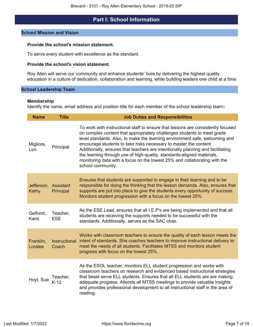# **Part I: School Information**

### <span id="page-6-0"></span>**School Mission and Vision**

### **Provide the school's mission statement.**

To serve every student with excellence as the standard.

# **Provide the school's vision statement.**

Roy Allen will serve our community and enhance students' lives by delivering the highest quality education in a culture of dedication, collaboration and learning, while building leaders one child at a time.

# **School Leadership Team**

### **Membership**

Identify the name, email address and position title for each member of the school leadership team**:**

| <b>Name</b>                   | <b>Title</b>           | <b>Job Duties and Responsibilities</b>                                                                                                                                                                                                                                                                                                                                                                                                                                                                                                                                         |
|-------------------------------|------------------------|--------------------------------------------------------------------------------------------------------------------------------------------------------------------------------------------------------------------------------------------------------------------------------------------------------------------------------------------------------------------------------------------------------------------------------------------------------------------------------------------------------------------------------------------------------------------------------|
| Migliore,<br>Lori             | Principal              | To work with instructional staff to ensure that lessons are consistently focused<br>on complex content that appropriately challenges students to meet grade<br>level standards. Also, to make the learning environment safe, welcoming and<br>encourage students to take risks necessary to master the content.<br>Additionally, ensures that teachers are intentionally planning and facilitating<br>the learning through use of high-quality, standards-aligned materials,<br>monitoring data with a focus on the lowest 25% and collaborating with the<br>school community. |
| Jefferson, Assistant<br>Kathy | Principal              | Ensures that students are supported to engage in their learning and to be<br>responsible for doing the thinking that the lesson demands. Also, ensures that<br>supports are put into place to give the students every opportunity of success.<br>Monitors student progression with a focus on the lowest 25%.                                                                                                                                                                                                                                                                  |
| Gelfond,<br>Kami              | Teacher,<br><b>ESE</b> | As the ESE Lead, ensures that all I.E.P's are being implemented and that all<br>students are receiving the supports needed to be successful with the<br>standards. Additionally, serves as the SAC chair.                                                                                                                                                                                                                                                                                                                                                                      |
| Franklin,<br>Loralee          | Instructional<br>Coach | Works with classroom teachers to ensure the quality of each lesson meets the<br>intent of standards. She coaches teachers to improve instructional delivery to<br>meet the needs of all students. Facilitates MTSS and monitors student<br>progress with focus on the lowest 25%.                                                                                                                                                                                                                                                                                              |
| Hoyt, Sue                     | Teacher,<br>$K-12$     | As the ESOL teacher, monitors ELL student progression and works with<br>classroom teachers on research and evidenced based instructional strategies<br>that beset serve ELL students. Ensures that all ELL students are are making<br>adequate progress. Attends all MTSS meetings to provide valuable insights<br>and provides professional development to all instructional staff in the area of<br>reading.                                                                                                                                                                 |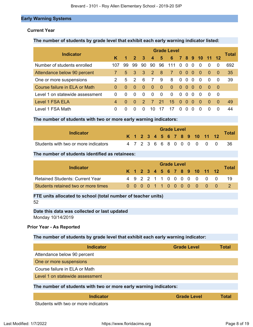# **Early Warning Systems**

# **Current Year**

# **The number of students by grade level that exhibit each early warning indicator listed:**

|                                 |                |                      |                |               |                         |             | <b>Grade Level</b> |              |          |              |          |                |          | <b>Total</b> |
|---------------------------------|----------------|----------------------|----------------|---------------|-------------------------|-------------|--------------------|--------------|----------|--------------|----------|----------------|----------|--------------|
| <b>Indicator</b>                | K              | $\blacktriangleleft$ | $\overline{2}$ | -3            | $\overline{\mathbf{4}}$ | $5^{\circ}$ | 6                  |              |          |              |          | 7 8 9 10 11 12 |          |              |
| Number of students enrolled     | 107            | 99                   | 99             | 90            | 90                      | 96          | 111                | $\Omega$     | -0       | $\Omega$     | $\Omega$ | $\Omega$       | $\Omega$ | 692          |
| Attendance below 90 percent     | 7.             |                      | 5 3 3          |               | $\overline{2}$          | - 8         | $\overline{7}$     | $\Omega$     | - 0      | $\Omega$     | $\Omega$ | $\Omega$       | 0        | 35           |
| One or more suspensions         | 2              | 5                    | 2              | 6             | 7                       | 9           | 8                  | $\Omega$     | $\Omega$ | $\Omega$     | $\Omega$ | $\Omega$       | $\Omega$ | 39           |
| Course failure in ELA or Math   | $\Omega$       | $\Omega$             | $\Omega$       | $\Omega$      | $\Omega$                | $\Omega$    | $\Omega$           | $\Omega$     | - 0      | $\Omega$     | $\Omega$ | $\Omega$       | - 0      |              |
| Level 1 on statewide assessment | 0              | 0                    | $\Omega$       | $\Omega$      | $\Omega$                | $\Omega$    | $\Omega$           | $\Omega$     | -0       | $\Omega$     | $\Omega$ | $\Omega$       | - 0      |              |
| Level 1 FSA ELA                 | $\overline{4}$ | $\Omega$             | $\Omega$       | $\mathcal{P}$ | 7                       | 21          | 15                 | $\Omega$     | - 0      | $\Omega$     | $\Omega$ | $\Omega$       | $\Omega$ | 49           |
| Level 1 FSA Math                | 0              | 0                    | $\Omega$       | $\mathbf{O}$  | 10                      |             |                    | $\mathbf{O}$ |          | $\mathbf{0}$ |          | $\Omega$       |          | 44           |

# **The number of students with two or more early warning indicators:**

| Indicator                            |  |  |  | <b>Grade Level</b> |  |  |                              |               |       |
|--------------------------------------|--|--|--|--------------------|--|--|------------------------------|---------------|-------|
|                                      |  |  |  |                    |  |  | K 1 2 3 4 5 6 7 8 9 10 11 12 |               | Total |
| Students with two or more indicators |  |  |  |                    |  |  |                              | 4723668000000 | - 36  |

# **The number of students identified as retainees:**

|                                        |  |  |  | <b>Grade Level</b> |  |  |                              |              |
|----------------------------------------|--|--|--|--------------------|--|--|------------------------------|--------------|
| Indicator                              |  |  |  |                    |  |  | K 1 2 3 4 5 6 7 8 9 10 11 12 | <b>Total</b> |
| <b>Retained Students: Current Year</b> |  |  |  |                    |  |  | 4 9 2 2 1 1 0 0 0 0 0 0 0    | -19          |
| Students retained two or more times    |  |  |  |                    |  |  | 0 0 0 0 1 1 0 0 0 0 0 0 0    |              |

# **FTE units allocated to school (total number of teacher units)** 52

# **Date this data was collected or last updated** Monday 10/14/2019

# **Prior Year - As Reported**

# **The number of students by grade level that exhibit each early warning indicator:**

| <b>Indicator</b>                                                                                                                                                                                                                                                                               | <b>Grade Level</b> | Total        |
|------------------------------------------------------------------------------------------------------------------------------------------------------------------------------------------------------------------------------------------------------------------------------------------------|--------------------|--------------|
| Attendance below 90 percent                                                                                                                                                                                                                                                                    |                    |              |
| One or more suspensions                                                                                                                                                                                                                                                                        |                    |              |
| Course failure in ELA or Math                                                                                                                                                                                                                                                                  |                    |              |
| Level 1 on statewide assessment                                                                                                                                                                                                                                                                |                    |              |
| The number of students with two or more early warning indicators:                                                                                                                                                                                                                              |                    |              |
| <b>Indicator</b>                                                                                                                                                                                                                                                                               | <b>Grade Level</b> | <b>Total</b> |
| $\mathbf{C}$ and the set of $\mathbf{C}$ and $\mathbf{C}$ and $\mathbf{C}$ and $\mathbf{C}$ and $\mathbf{C}$ and $\mathbf{C}$ and $\mathbf{C}$ and $\mathbf{C}$ and $\mathbf{C}$ and $\mathbf{C}$ and $\mathbf{C}$ and $\mathbf{C}$ and $\mathbf{C}$ and $\mathbf{C}$ and $\mathbf{C}$ and $\$ |                    |              |

Students with two or more indicators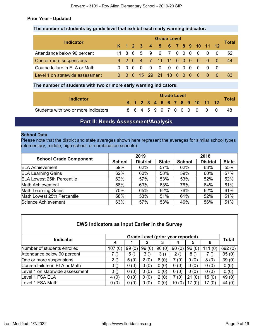# **Prior Year - Updated**

# **The number of students by grade level that exhibit each early warning indicator:**

| <b>Indicator</b>                |  | <b>Grade Level</b> |     |                |                              |                |  |  |  |   |                          |                                        |                |       |  |
|---------------------------------|--|--------------------|-----|----------------|------------------------------|----------------|--|--|--|---|--------------------------|----------------------------------------|----------------|-------|--|
|                                 |  |                    |     |                | K 1 2 3 4 5 6 7 8 9 10 11 12 |                |  |  |  |   |                          |                                        |                | Total |  |
| Attendance below 90 percent     |  |                    |     |                | 11 8 6 5 9 6 7 0 0 0         |                |  |  |  |   | $\overline{\phantom{0}}$ |                                        | $\overline{0}$ | 52    |  |
| One or more suspensions         |  |                    |     |                | 9 2 0 4 7 11 11 0 0 0        |                |  |  |  |   | $\overline{0}$           | $\begin{array}{ccc} 0 & 0 \end{array}$ |                | 44    |  |
| Course failure in ELA or Math   |  |                    | - 0 | $\overline{0}$ | $\overline{0}$               | $\overline{0}$ |  |  |  |   | $\overline{0}$           |                                        |                |       |  |
| Level 1 on statewide assessment |  |                    |     | $-15$          |                              | 29 21 18 0 0   |  |  |  | 0 | - 0                      |                                        |                | 83    |  |

# **The number of students with two or more early warning indicators:**

|                                      |  |  |  |  | <b>Grade Level</b> |  |                              |              |
|--------------------------------------|--|--|--|--|--------------------|--|------------------------------|--------------|
| <b>Indicator</b>                     |  |  |  |  |                    |  | K 1 2 3 4 5 6 7 8 9 10 11 12 | <b>Total</b> |
| Students with two or more indicators |  |  |  |  |                    |  | 8 6 4 5 9 9 7 0 0 0 0 0 0    | -48          |

# **Part II: Needs Assessment/Analysis**

# <span id="page-8-0"></span>**School Data**

Please note that the district and state averages shown here represent the averages for similar school types (elementary, middle, high school, or combination schools).

|                                   |               | 2019                                                                                |     | 2018 |     |     |  |  |  |  |
|-----------------------------------|---------------|-------------------------------------------------------------------------------------|-----|------|-----|-----|--|--|--|--|
| <b>School Grade Component</b>     | <b>School</b> | <b>District</b><br><b>District</b><br><b>State</b><br><b>State</b><br><b>School</b> |     |      |     |     |  |  |  |  |
| <b>ELA Achievement</b>            | 59%           | 62%                                                                                 | 57% | 62%  | 63% | 55% |  |  |  |  |
| <b>ELA Learning Gains</b>         | 62%           | 60%                                                                                 | 58% | 59%  | 60% | 57% |  |  |  |  |
| <b>ELA Lowest 25th Percentile</b> | 62%           | 57%                                                                                 | 53% | 53%  | 52% | 52% |  |  |  |  |
| Math Achievement                  | 68%           | 63%                                                                                 | 63% | 76%  | 64% | 61% |  |  |  |  |
| <b>Math Learning Gains</b>        | 70%           | 65%                                                                                 | 62% | 76%  | 62% | 61% |  |  |  |  |
| Math Lowest 25th Percentile       | 58%           | 53%                                                                                 | 51% | 61%  | 52% | 51% |  |  |  |  |
| Science Achievement               | 63%           | 57%                                                                                 | 53% | 46%  | 56% | 51% |  |  |  |  |

| <b>EWS Indicators as Input Earlier in the Survey</b> |        |       |                                   |       |       |           |        |              |  |
|------------------------------------------------------|--------|-------|-----------------------------------|-------|-------|-----------|--------|--------------|--|
| <b>Indicator</b>                                     |        |       | Grade Level (prior year reported) |       |       |           |        | <b>Total</b> |  |
|                                                      | Κ      |       |                                   | 3     |       | 5         | 6      |              |  |
| Number of students enrolled                          | 107(0) | 99(0) | 99(0)                             | 90(0) | 90(0) | 96(0)     | 111(0) | 692(0)       |  |
| Attendance below 90 percent                          | 7 ()   | 5()   | 3()                               | 3()   | 2()   | 8()       | 7()    | 35(0)        |  |
| One or more suspensions                              | 2()    | 5(0)  | 2(0)                              | 6(0)  | 7 (0) | 9(0)      | 8(0)   | 39(0)        |  |
| Course failure in ELA or Math                        | 0()    | 0(0)  | 0(0)                              | 0(0)  | 0(0)  | 0(0)      | 0(0)   | 0(0)         |  |
| Level 1 on statewide assessment                      | 0()    | 0(0)  | 0(0)                              | 0(0)  | 0(0)  | 0(0)      | 0(0)   | 0(0)         |  |
| Level 1 FSA ELA                                      | 4(0)   | 0(0)  | 0(0)                              | 2(0)  | 7(0)  | 21<br>(0) | 15(0)  | 49(0)        |  |
| Level 1 FSA Math                                     | 0(0)   | 0(0)  | 0(0)                              | 0(0)  | 10(0) | 17<br>(0) | 17(0)  | 44 $(0)$     |  |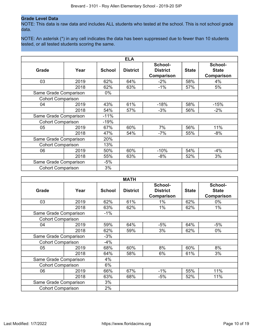### **Grade Level Data**

NOTE: This data is raw data and includes ALL students who tested at the school. This is not school grade data.

NOTE: An asterisk (\*) in any cell indicates the data has been suppressed due to fewer than 10 students tested, or all tested students scoring the same.

|                          |      |               | <b>ELA</b>      |                                          |              |                                              |
|--------------------------|------|---------------|-----------------|------------------------------------------|--------------|----------------------------------------------|
| Grade                    | Year | <b>School</b> | <b>District</b> | School-<br><b>District</b><br>Comparison | <b>State</b> | School-<br><b>State</b><br><b>Comparison</b> |
| 03                       | 2019 | 62%           | 64%             | $-2%$                                    | 58%          | 4%                                           |
|                          | 2018 | 62%           | 63%             | $-1\%$                                   | 57%          | 5%                                           |
| Same Grade Comparison    |      | $0\%$         |                 |                                          |              |                                              |
| <b>Cohort Comparison</b> |      |               |                 |                                          |              |                                              |
| 04                       | 2019 | 43%           | 61%             | $-18%$                                   | 58%          | $-15%$                                       |
|                          | 2018 | 54%           | 57%             | $-3%$                                    | 56%          | $-2%$                                        |
| Same Grade Comparison    |      | $-11%$        |                 |                                          |              |                                              |
| <b>Cohort Comparison</b> |      | $-19%$        |                 |                                          |              |                                              |
| 05                       | 2019 | 67%           | 60%             | 7%                                       | 56%          | 11%                                          |
|                          | 2018 | 47%           | 54%             | $-7%$                                    | 55%          | -8%                                          |
| Same Grade Comparison    |      | 20%           |                 |                                          |              |                                              |
| <b>Cohort Comparison</b> |      | 13%           |                 |                                          |              |                                              |
| 06                       | 2019 | 50%           | 60%             | $-10%$                                   | 54%          | $-4%$                                        |
|                          | 2018 | 55%           | 63%             | $-8%$                                    | 52%          | 3%                                           |
| Same Grade Comparison    |      | $-5%$         |                 |                                          |              |                                              |
| <b>Cohort Comparison</b> | 3%   |               |                 |                                          |              |                                              |

| <b>MATH</b>              |      |               |                 |                                                 |              |                                       |
|--------------------------|------|---------------|-----------------|-------------------------------------------------|--------------|---------------------------------------|
| Grade                    | Year | <b>School</b> | <b>District</b> | School-<br><b>District</b><br><b>Comparison</b> | <b>State</b> | School-<br><b>State</b><br>Comparison |
| 03                       | 2019 | 62%           | 61%             | 1%                                              | 62%          | 0%                                    |
|                          | 2018 | 63%           | 62%             | 1%                                              | 62%          | 1%                                    |
| Same Grade Comparison    |      | $-1%$         |                 |                                                 |              |                                       |
| <b>Cohort Comparison</b> |      |               |                 |                                                 |              |                                       |
| 04                       | 2019 | 59%           | 64%             | $-5%$                                           | 64%          | $-5%$                                 |
|                          | 2018 | 62%           | 59%             | 3%                                              | 62%          | $0\%$                                 |
| Same Grade Comparison    |      | $-3%$         |                 |                                                 |              |                                       |
| <b>Cohort Comparison</b> |      | $-4%$         |                 |                                                 |              |                                       |
| 05                       | 2019 | 68%           | 60%             | 8%                                              | 60%          | 8%                                    |
|                          | 2018 | 64%           | 58%             | 6%                                              | 61%          | 3%                                    |
| Same Grade Comparison    |      | 4%            |                 |                                                 |              |                                       |
| <b>Cohort Comparison</b> |      | 6%            |                 |                                                 |              |                                       |
| 06                       | 2019 | 66%           | 67%             | $-1%$                                           | 55%          | 11%                                   |
|                          | 2018 | 63%           | 68%             | $-5%$                                           | 52%          | 11%                                   |
| Same Grade Comparison    |      | 3%            |                 |                                                 |              |                                       |
| <b>Cohort Comparison</b> |      | 2%            |                 |                                                 |              |                                       |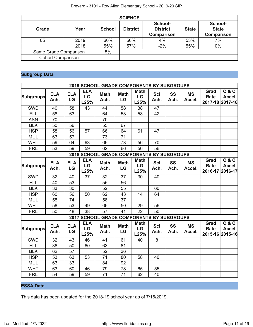|                          |      |               | <b>SCIENCE</b>  |                                          |              |                                       |
|--------------------------|------|---------------|-----------------|------------------------------------------|--------------|---------------------------------------|
| Grade                    | Year | <b>School</b> | <b>District</b> | School-<br><b>District</b><br>Comparison | <b>State</b> | School-<br><b>State</b><br>Comparison |
| 05                       | 2019 | 60%           | 56%             | 4%                                       | 53%          | 7%                                    |
|                          | 2018 | 55%           | 57%             | $-2%$                                    | 55%          | $0\%$                                 |
| Same Grade Comparison    |      | 5%            |                 |                                          |              |                                       |
| <b>Cohort Comparison</b> |      |               |                 |                                          |              |                                       |

# **Subgroup Data**

|                  |                    |                  |                          | 2019 SCHOOL GRADE COMPONENTS BY SUBGROUPS |                   |                           |                    |                   |                     |                                        |                                  |
|------------------|--------------------|------------------|--------------------------|-------------------------------------------|-------------------|---------------------------|--------------------|-------------------|---------------------|----------------------------------------|----------------------------------|
| Subgroups        | <b>ELA</b><br>Ach. | <b>ELA</b><br>LG | <b>ELA</b><br>LG<br>L25% | <b>Math</b><br>Ach.                       | <b>Math</b><br>LG | <b>Math</b><br>LG<br>L25% | <b>Sci</b><br>Ach. | <b>SS</b><br>Ach. | <b>MS</b><br>Accel. | Grad<br><b>Rate</b><br>2017-18 2017-18 | C & C<br><b>Accel</b>            |
| <b>SWD</b>       | 40                 | 58               | 43                       | 44                                        | 58                | 38                        | 47                 |                   |                     |                                        |                                  |
| <b>ELL</b>       | 58                 | 63               |                          | 64                                        | 53                | 58                        | 42                 |                   |                     |                                        |                                  |
| <b>ASN</b>       | 70                 |                  |                          | 70                                        |                   |                           |                    |                   |                     |                                        |                                  |
| <b>BLK</b>       | 50                 | 56               |                          | 55                                        | 67                |                           |                    |                   |                     |                                        |                                  |
| <b>HSP</b>       | 58                 | 56               | 57                       | 66                                        | 64                | 61                        | 47                 |                   |                     |                                        |                                  |
| <b>MUL</b>       | 63                 | 57               |                          | 73                                        | 71                |                           |                    |                   |                     |                                        |                                  |
| <b>WHT</b>       | 59                 | 64               | 63                       | 69                                        | 73                | 56                        | 70                 |                   |                     |                                        |                                  |
| <b>FRL</b>       | 53                 | 59               | 59                       | 62                                        | 66                | 56                        | 56                 |                   |                     |                                        |                                  |
|                  |                    |                  |                          | 2018 SCHOOL GRADE COMPONENTS BY SUBGROUPS |                   |                           |                    |                   |                     |                                        |                                  |
| <b>Subgroups</b> | <b>ELA</b><br>Ach. | <b>ELA</b><br>LG | <b>ELA</b><br>LG<br>L25% | <b>Math</b><br>Ach.                       | <b>Math</b><br>LG | <b>Math</b><br>LG<br>L25% | <b>Sci</b><br>Ach. | SS<br>Ach.        | <b>MS</b><br>Accel. | Grad<br><b>Rate</b><br>2016-17         | C & C<br><b>Accel</b><br>2016-17 |
| <b>SWD</b>       | 32                 | 40               | 37                       | 32                                        | 37                | 30                        | 40                 |                   |                     |                                        |                                  |
| <b>ELL</b>       | 40                 | 53               |                          | 55                                        | 56                |                           |                    |                   |                     |                                        |                                  |
| <b>BLK</b>       | 33                 | 30               |                          | 52                                        | 55                |                           | 60                 |                   |                     |                                        |                                  |
| <b>HSP</b>       | 60                 | 56               | 50                       | 62                                        | 43                | 14                        | 64                 |                   |                     |                                        |                                  |
| <b>MUL</b>       | 58                 | 74               |                          | 58                                        | 37                |                           |                    |                   |                     |                                        |                                  |
| <b>WHT</b>       | 58                 | 53               | 49                       | 66                                        | 50                | 29                        | 56                 |                   |                     |                                        |                                  |
| <b>FRL</b>       | 50                 | 48               | $\overline{38}$          | 57                                        | 41                | $\overline{22}$           | 50                 |                   |                     |                                        |                                  |
|                  |                    |                  |                          | 2017 SCHOOL GRADE COMPONENTS BY SUBGROUPS |                   |                           |                    |                   |                     |                                        |                                  |
| Subgroups        | <b>ELA</b><br>Ach. | <b>ELA</b><br>LG | <b>ELA</b><br>LG<br>L25% | <b>Math</b><br>Ach.                       | <b>Math</b><br>LG | <b>Math</b><br>LG<br>L25% | <b>Sci</b><br>Ach. | SS<br>Ach.        | <b>MS</b><br>Accel. | Grad<br><b>Rate</b><br>2015-16 2015-16 | C & C<br><b>Accel</b>            |
| <b>SWD</b>       | 32                 | 43               | 46                       | 41                                        | 61                | 40                        | 8                  |                   |                     |                                        |                                  |
| <b>ELL</b>       | 38                 | 50               | 60                       | 63                                        | 81                |                           |                    |                   |                     |                                        |                                  |
| <b>BLK</b>       | 62                 | 57               |                          | 52                                        | 36                |                           |                    |                   |                     |                                        |                                  |
| <b>HSP</b>       | 53                 | 63               | 53                       | 71                                        | 80                | 58                        | 40                 |                   |                     |                                        |                                  |
| <b>MUL</b>       | 63                 | 33               |                          | 84                                        | 92                |                           |                    |                   |                     |                                        |                                  |
| <b>WHT</b>       | 63                 | 60               | 46                       | 79                                        | 78                | 65                        | 55                 |                   |                     |                                        |                                  |
| <b>FRL</b>       | 54                 | 59               | 59                       | 71                                        | 71                | 62                        | 40                 |                   |                     |                                        |                                  |

# **ESSA Data**

This data has been updated for the 2018-19 school year as of 7/16/2019.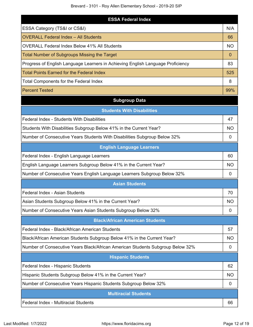| <b>ESSA Federal Index</b>                                                       |           |
|---------------------------------------------------------------------------------|-----------|
| ESSA Category (TS&I or CS&I)                                                    | N/A       |
| <b>OVERALL Federal Index - All Students</b>                                     | 66        |
| <b>OVERALL Federal Index Below 41% All Students</b>                             | <b>NO</b> |
| Total Number of Subgroups Missing the Target                                    | $\Omega$  |
| Progress of English Language Learners in Achieving English Language Proficiency | 83        |
| <b>Total Points Earned for the Federal Index</b>                                | 525       |
| <b>Total Components for the Federal Index</b>                                   | 8         |
| <b>Percent Tested</b>                                                           | 99%       |

# **Subgroup Data**

| <b>Students With Disabilities</b>                                              |                |
|--------------------------------------------------------------------------------|----------------|
| Federal Index - Students With Disabilities                                     | 47             |
| Students With Disabilities Subgroup Below 41% in the Current Year?             | <b>NO</b>      |
| Number of Consecutive Years Students With Disabilities Subgroup Below 32%      | 0              |
| <b>English Language Learners</b>                                               |                |
| Federal Index - English Language Learners                                      | 60             |
| English Language Learners Subgroup Below 41% in the Current Year?              | <b>NO</b>      |
| Number of Consecutive Years English Language Learners Subgroup Below 32%       | $\overline{0}$ |
| <b>Asian Students</b>                                                          |                |
| Federal Index - Asian Students                                                 | 70             |
| Asian Students Subgroup Below 41% in the Current Year?                         | <b>NO</b>      |
| Number of Consecutive Years Asian Students Subgroup Below 32%                  | $\mathbf{0}$   |
| <b>Black/African American Students</b>                                         |                |
| Federal Index - Black/African American Students                                | 57             |
| Black/African American Students Subgroup Below 41% in the Current Year?        | NΟ             |
| Number of Consecutive Years Black/African American Students Subgroup Below 32% | 0              |
| <b>Hispanic Students</b>                                                       |                |
| Federal Index - Hispanic Students                                              | 62             |
| Hispanic Students Subgroup Below 41% in the Current Year?                      | <b>NO</b>      |
| Number of Consecutive Years Hispanic Students Subgroup Below 32%               | $\mathbf 0$    |
| <b>Multiracial Students</b>                                                    |                |
| Federal Index - Multiracial Students                                           | 66             |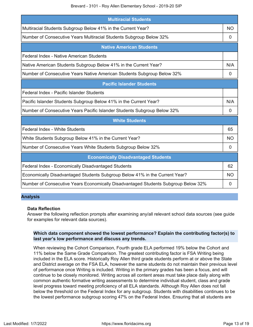Brevard - 3101 - Roy Allen Elementary School - 2019-20 SIP

| <b>Multiracial Students</b>                                                        |             |
|------------------------------------------------------------------------------------|-------------|
| Multiracial Students Subgroup Below 41% in the Current Year?                       | <b>NO</b>   |
| Number of Consecutive Years Multiracial Students Subgroup Below 32%                | 0           |
| <b>Native American Students</b>                                                    |             |
| Federal Index - Native American Students                                           |             |
| Native American Students Subgroup Below 41% in the Current Year?                   | N/A         |
| Number of Consecutive Years Native American Students Subgroup Below 32%            | 0           |
| <b>Pacific Islander Students</b>                                                   |             |
| Federal Index - Pacific Islander Students                                          |             |
| Pacific Islander Students Subgroup Below 41% in the Current Year?                  | N/A         |
| Number of Consecutive Years Pacific Islander Students Subgroup Below 32%           | $\mathbf 0$ |
| <b>White Students</b>                                                              |             |
| Federal Index - White Students                                                     | 65          |
| White Students Subgroup Below 41% in the Current Year?                             | <b>NO</b>   |
| Number of Consecutive Years White Students Subgroup Below 32%                      | 0           |
| <b>Economically Disadvantaged Students</b>                                         |             |
| Federal Index - Economically Disadvantaged Students                                | 62          |
| Economically Disadvantaged Students Subgroup Below 41% in the Current Year?        | <b>NO</b>   |
| Number of Consecutive Years Economically Disadvantaged Students Subgroup Below 32% | 0           |

# **Analysis**

# **Data Reflection**

Answer the following reflection prompts after examining any/all relevant school data sources (see guide for examples for relevant data sources).

# **Which data component showed the lowest performance? Explain the contributing factor(s) to last year's low performance and discuss any trends.**

When reviewing the Cohort Comparison, Fourth grade ELA performed 19% below the Cohort and 11% below the Same Grade Comparison. The greatest contributing factor is FSA Writing being included in the ELA score. Historically Roy Allen third grade students perform at or above the State and District average on the FSA ELA, however the same students do not maintain their previous level of performance once Writing is included. Writing in the primary grades has been a focus, and will continue to be closely monitored. Writing across all content areas must take place daily along with common authentic formative writing assessments to determine individual student, class and grade level progress toward meeting proficiency of all ELA standards. Although Roy Allen does not fall below the threshold on the Federal Index for any subgroup. Students with disabilities continues to be the lowest performance subgroup scoring 47% on the Federal Index. Ensuring that all students are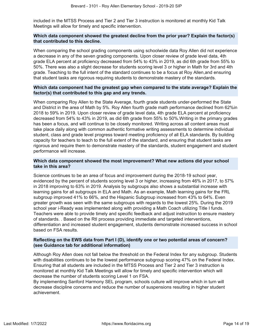included in the MTSS Process and Tier 2 and Tier 3 instruction is monitored at monthly Kid Talk Meetings will allow for timely and specific intervention.

# **Which data component showed the greatest decline from the prior year? Explain the factor(s) that contributed to this decline.**

When comparing the school grading components using schoolwide data Roy Allen did not experience a decrease in any of the seven grading components. Upon closer review of grade level data, 4th grade ELA percent at proficiency decreased from 54% to 43% in 2019, as did 6th grade from 55% to 50%. There was also a slight decrease for students scoring level 3 or higher in Math for 3rd and 4th grade. Teaching to the full intent of the standard continues to be a focus at Roy Allen,and ensuring that student tasks are rigorous requiring students to demonstrate mastery of the standards.

# **Which data component had the greatest gap when compared to the state average? Explain the factor(s) that contributed to this gap and any trends.**

When comparing Roy Allen to the State Average, fourth grade students under-performed the State and District in the area of Math by 5%. Roy Allen fourth grade math performance declined from 62%in 2018 to 59% in 2019. Upon closer review of grade level data, 4th grade ELA percent at proficiency decreased from 54% to 43% in 2019, as did 6th grade from 55% to 50%.Writing in the primary grades has been a focus, and will continue to be closely monitored. Writing across all content areas must take place daily along with common authentic formative writing assessments to determine individual student, class and grade level progress toward meeting proficiency of all ELA standards. By building capacity for teachers to teach to the full extent of the standard, and ensuring that student tasks are rigorous and require them to demonstrate mastery of the standards, student engagement and student performance will increase.

# **Which data component showed the most improvement? What new actions did your school take in this area?**

Science continues to be an area of focus and improvement during the 2018-19 school year, evidenced by the percent of students scoring level 3 or higher, increasing from 46% in 2017, to 57% in 2018 improving to 63% in 2019. Analysis by subgroups also shows a substantial increase with learning gains for all subgroups in ELA and Math. As an example, Math learning gains for the FRL subgroup improved 41% to 66%, and the Hispanic Subgroup increased from 43% to 64%. Even greater growth was seen with the same subgroups with regards to the lowest 25%. During the 2019 school year i-Ready was implemented along with providing a Math Coach utilizing Title I funds. Teachers were able to provide timely and specific feedback and adjust instruction to ensure mastery of standards. . Based on the RtI process providing immediate and targeted interventions, differentiation and increased student engagement, students demonstrate increased success in school based on FSA results.

# **Reflecting on the EWS data from Part I (D), identify one or two potential areas of concern? (see Guidance tab for additional information)**

Although Roy Allen does not fall below the threshold on the Federal Index for any subgroup. Students with disabilities continues to be the lowest performance subgroup scoring 47% on the Federal Index. Ensuring that all students are included in the MTSS Process and Tier 2 and Tier 3 instruction is monitored at monthly Kid Talk Meetings will allow for timely and specific intervention which will decrease the number of students scoring Level 1 on FSA.

By implementing Sanford Harmony SEL program, schools culture will improve which in turn will decrease discipline concerns and reduce the number of suspensions resulting in higher student achievement.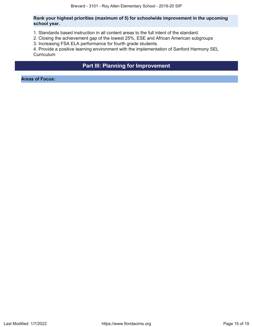# **Rank your highest priorities (maximum of 5) for schoolwide improvement in the upcoming school year.**

- 1. Standards based instruction in all content areas to the full intent of the standard.
- 2. Closing the achievement gap of the lowest 25%, ESE and African American subgroups
- 3. Increasing FSA ELA performance for fourth grade students.

4. Provide a positive learning environment with the implementation of Sanford Harmony SEL **Curriculum** 

# **Part III: Planning for Improvement**

<span id="page-14-0"></span>**Areas of Focus:**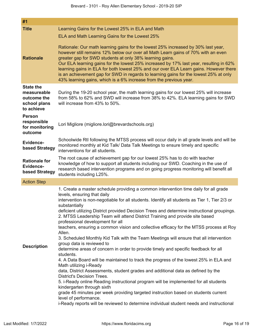| #1                                                        |                                                                                                                                                                                                                                                                                                                                                                                                                                                                                                                                                                                                                                                                                                                                                                                                                                                                                                                                                                                                                                                                                                                                                                                                                                                                                                                                                                      |
|-----------------------------------------------------------|----------------------------------------------------------------------------------------------------------------------------------------------------------------------------------------------------------------------------------------------------------------------------------------------------------------------------------------------------------------------------------------------------------------------------------------------------------------------------------------------------------------------------------------------------------------------------------------------------------------------------------------------------------------------------------------------------------------------------------------------------------------------------------------------------------------------------------------------------------------------------------------------------------------------------------------------------------------------------------------------------------------------------------------------------------------------------------------------------------------------------------------------------------------------------------------------------------------------------------------------------------------------------------------------------------------------------------------------------------------------|
| <b>Title</b>                                              | Learning Gains for the Lowest 25% in ELA and Math                                                                                                                                                                                                                                                                                                                                                                                                                                                                                                                                                                                                                                                                                                                                                                                                                                                                                                                                                                                                                                                                                                                                                                                                                                                                                                                    |
|                                                           | ELA and Math Learning Gains for the Lowest 25%                                                                                                                                                                                                                                                                                                                                                                                                                                                                                                                                                                                                                                                                                                                                                                                                                                                                                                                                                                                                                                                                                                                                                                                                                                                                                                                       |
| <b>Rationale</b>                                          | Rationale: Our math learning gains for the lowest 25% increased by 30% last year,<br>however still remains 12% below our over all Math Learn gains of 70% with an even<br>greater gap for SWD students at only 38% learning gains.<br>Our ELA learning gains for the lowest 25% increased by 17% last year, resulting in 62%<br>learning gains in ELA for both lowest 25% and our over ELA Learn gains. However there<br>is an achievement gap for SWD in regards to learning gains for the lowest 25% at only<br>43% learning gains, which is a 6% increase from the previous year.                                                                                                                                                                                                                                                                                                                                                                                                                                                                                                                                                                                                                                                                                                                                                                                 |
| <b>State the</b>                                          |                                                                                                                                                                                                                                                                                                                                                                                                                                                                                                                                                                                                                                                                                                                                                                                                                                                                                                                                                                                                                                                                                                                                                                                                                                                                                                                                                                      |
| measureable<br>outcome the<br>school plans<br>to achieve  | During the 19-20 school year, the math learning gains for our lowest 25% will increase<br>from 58% to 62% and SWD will increase from 38% to 42%. ELA learning gains for SWD<br>will increase from 43% to 50%.                                                                                                                                                                                                                                                                                                                                                                                                                                                                                                                                                                                                                                                                                                                                                                                                                                                                                                                                                                                                                                                                                                                                                        |
| <b>Person</b><br>responsible<br>for monitoring<br>outcome | Lori Migliore (migliore.lori@brevardschools.org)                                                                                                                                                                                                                                                                                                                                                                                                                                                                                                                                                                                                                                                                                                                                                                                                                                                                                                                                                                                                                                                                                                                                                                                                                                                                                                                     |
| Evidence-<br>based Strategy                               | Schoolwide RtI following the MTSS process will occur daily in all grade levels and will be<br>monitored monthly at Kid Talk/ Data Talk Meetings to ensure timely and specific<br>interventions for all students.                                                                                                                                                                                                                                                                                                                                                                                                                                                                                                                                                                                                                                                                                                                                                                                                                                                                                                                                                                                                                                                                                                                                                     |
| <b>Rationale for</b><br>Evidence-<br>based Strategy       | The root cause of achievement gap for our lowest 25% has to do with teacher<br>knowledge of how to support all students including our SWD. Coaching in the use of<br>research based intervention programs and on going progress monitoring will benefit all<br>students including L25%.                                                                                                                                                                                                                                                                                                                                                                                                                                                                                                                                                                                                                                                                                                                                                                                                                                                                                                                                                                                                                                                                              |
| <b>Action Step</b>                                        |                                                                                                                                                                                                                                                                                                                                                                                                                                                                                                                                                                                                                                                                                                                                                                                                                                                                                                                                                                                                                                                                                                                                                                                                                                                                                                                                                                      |
| <b>Description</b>                                        | 1. Create a master schedule providing a common intervention time daily for all grade<br>levels, ensuring that daily<br>intervention is non-negotiable for all students. Identify all students as Tier 1, Tier 2/3 or<br>substantially<br>deficient utilizing District provided Decision Trees and determine instructional groupings.<br>2. MTSS Leadership Team will attend District Training and provide site based<br>professional development for all<br>teachers, ensuring a common vision and collective efficacy for the MTSS process at Roy<br>Allen.<br>3. Scheduled Monthly Kid Talk with the Team Meetings will ensure that all intervention<br>group data is reviewed to<br>determine areas of concern in order to provide timely and specific feedback for all<br>students.<br>4. A Data Board will be maintained to track the progress of the lowest 25% in ELA and<br>Math utilizing i-Ready<br>data, District Assessments, student grades and additional data as defined by the<br><b>District's Decision Trees.</b><br>5. i-Ready online Reading instructional program will be implemented for all students<br>kindergarten through sixth<br>grade 45 minutes per week providing targeted instruction based on students current<br>level of performance.<br>i-Ready reports will be reviewed to determine individual student needs and instructional |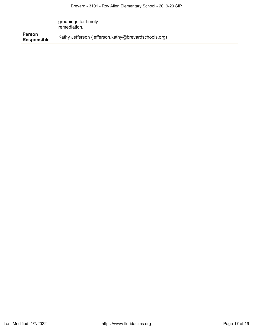groupings for timely remediation.

**Person Responsible** Kathy Jefferson (jefferson.kathy@brevardschools.org)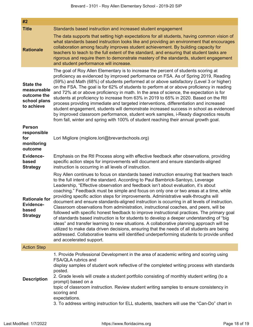| #2                                                                           |                                                                                                                                                                                                                                                                                                                                                                                                                                                                                                                                                                                                                                                                                                                                                                                                                                                                                                                                                                                                                                                                                                                                                            |
|------------------------------------------------------------------------------|------------------------------------------------------------------------------------------------------------------------------------------------------------------------------------------------------------------------------------------------------------------------------------------------------------------------------------------------------------------------------------------------------------------------------------------------------------------------------------------------------------------------------------------------------------------------------------------------------------------------------------------------------------------------------------------------------------------------------------------------------------------------------------------------------------------------------------------------------------------------------------------------------------------------------------------------------------------------------------------------------------------------------------------------------------------------------------------------------------------------------------------------------------|
| <b>Title</b>                                                                 | Standards based instruction and increased student engagement                                                                                                                                                                                                                                                                                                                                                                                                                                                                                                                                                                                                                                                                                                                                                                                                                                                                                                                                                                                                                                                                                               |
| <b>Rationale</b>                                                             | The data supports that setting high expectations for all students, having common vision of<br>what standards based instruction looks like and providing an environment that encourages<br>collaboration among faculty improves student achievement. By building capacity for<br>teachers to teach to the full extent of the standard, and ensuring that student tasks are<br>rigorous and require them to demonstrate mastery of the standards, student engagement<br>and student performance will increase.                                                                                                                                                                                                                                                                                                                                                                                                                                                                                                                                                                                                                                               |
| <b>State the</b><br>measureable<br>outcome the<br>school plans<br>to achieve | The goal of Roy Allen Elementary is to increase the percent of students scoring at<br>proficiency as evidenced by improved performance on FSA. As of Spring 2019, Reading<br>(59%) and Math (68%) of students performed at or above satisfactory (Level 3 or higher)<br>on the FSA. The goal is for 62% of students to perform at or above proficiency in reading<br>and 72% at or above proficiency in math. In the area of science, the expectation is for<br>students at proficiency to increase from 63% in 2019 to 65% in 2020. Based on the RtI<br>process providing immediate and targeted interventions, differentiation and increased<br>student engagement, students will demonstrate increased success in school as evidenced<br>by improved classroom performance, student work samples, i-Ready diagnostics results<br>from fall, winter and spring with 100% of student reaching their annual growth goal.                                                                                                                                                                                                                                   |
| <b>Person</b><br>responsible<br>for<br>monitoring<br>outcome                 | Lori Migliore (migliore.lori@brevardschools.org)                                                                                                                                                                                                                                                                                                                                                                                                                                                                                                                                                                                                                                                                                                                                                                                                                                                                                                                                                                                                                                                                                                           |
| Evidence-<br>based<br><b>Strategy</b>                                        | Emphasis on the RtI Process along with effective feedback after observations, providing<br>specific action steps for improvements will document and ensure standards-aligned<br>instruction is occurring in all levels of instruction.                                                                                                                                                                                                                                                                                                                                                                                                                                                                                                                                                                                                                                                                                                                                                                                                                                                                                                                     |
| <b>Rationale for</b><br><b>Evidence-</b><br>based<br><b>Strategy</b>         | Roy Allen continues to focus on standards based instruction ensuring that teachers teach<br>to the full intent of the standard. According to Paul Bambrick-Santoyo, Leverage<br>Leadership, "Effective observation and feedback isn't about evaluation, it's about<br>coaching." Feedback must be simple and focus on only one or two areas at a time, while<br>providing specific action steps for improvements. Administrative walk-throughs will<br>document and ensure standards-aligned instruction is occurring in all levels of instruction<br>Classroom observations from administration, instructional coaches, and peers, will be<br>followed with specific honest feedback to improve instructional practices. The primary goal<br>of standards based instruction is for students to develop a deeper understanding of "big<br>ideas" and transfer learning to new situations. A collaborative planning approach will be<br>utilized to make data driven decisions, ensuring that the needs of all students are being<br>addressed. Collaborative teams will identified underperforming students to provide unified<br>and accelerated support. |
| <b>Action Step</b>                                                           |                                                                                                                                                                                                                                                                                                                                                                                                                                                                                                                                                                                                                                                                                                                                                                                                                                                                                                                                                                                                                                                                                                                                                            |
| <b>Description</b>                                                           | 1. Provide Professional Development in the area of academic writing and scoring using<br>FSA/QLA rubrics and<br>display samples of student work reflective of the completed writing process with standards<br>posted.<br>2. Grade levels will create a student portfolio consisting of monthly student writing (to a<br>prompt) based on a<br>topic of classroom instruction. Review student writing samples to ensure consistency in<br>scoring and<br>expectations.<br>3. To address writing instruction for ELL students, teachers will use the "Can-Do" chart in                                                                                                                                                                                                                                                                                                                                                                                                                                                                                                                                                                                       |